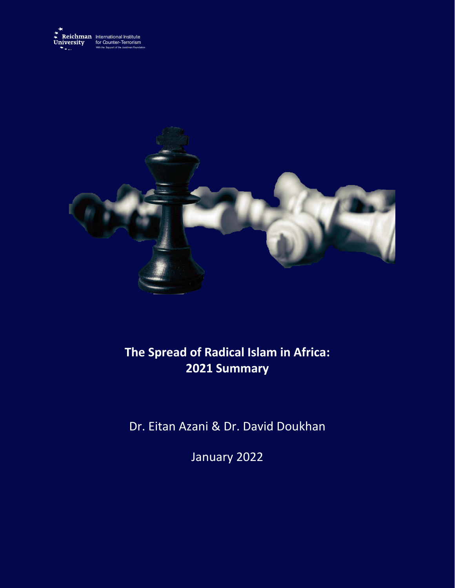



## **The Spread of Radical Islam in Africa: 2021 Summary**

Dr. Eitan Azani & Dr. David Doukhan

January 2022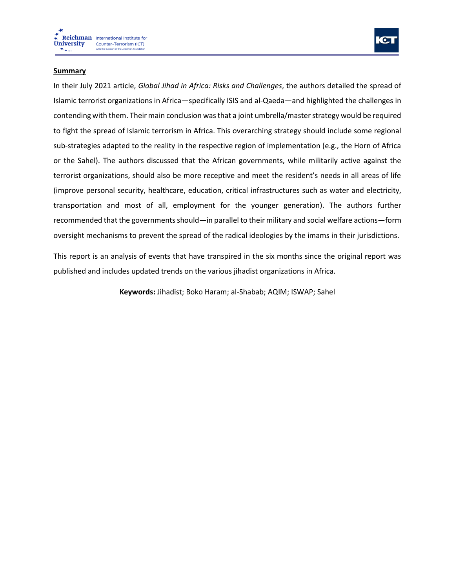



## **Summary**

In their July 2021 article, *Global Jihad in Africa: Risks and Challenges*, the authors detailed the spread of Islamic terrorist organizations in Africa—specifically ISIS and al-Qaeda—and highlighted the challenges in contending with them. Their main conclusion was that a joint umbrella/master strategy would be required to fight the spread of Islamic terrorism in Africa. This overarching strategy should include some regional sub-strategies adapted to the reality in the respective region of implementation (e.g., the Horn of Africa or the Sahel). The authors discussed that the African governments, while militarily active against the terrorist organizations, should also be more receptive and meet the resident's needs in all areas of life (improve personal security, healthcare, education, critical infrastructures such as water and electricity, transportation and most of all, employment for the younger generation). The authors further recommended that the governments should—in parallel to their military and social welfare actions—form oversight mechanisms to prevent the spread of the radical ideologies by the imams in their jurisdictions.

This report is an analysis of events that have transpired in the six months since the original report was published and includes updated trends on the various jihadist organizations in Africa.

**Keywords:** Jihadist; Boko Haram; al-Shabab; AQIM; ISWAP; Sahel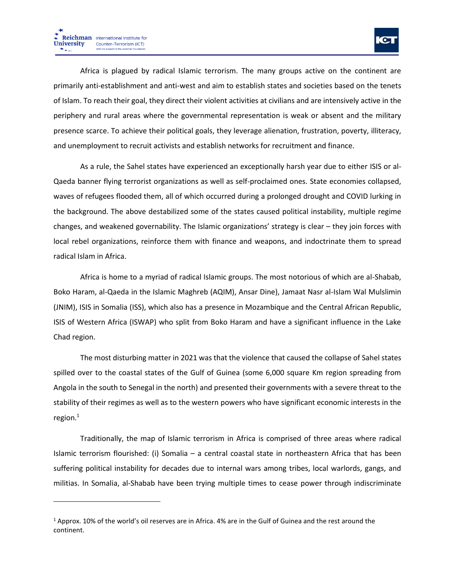

Africa is plagued by radical Islamic terrorism. The many groups active on the continent are primarily anti-establishment and anti-west and aim to establish states and societies based on the tenets of Islam. To reach their goal, they direct their violent activities at civilians and are intensively active in the periphery and rural areas where the governmental representation is weak or absent and the military presence scarce. To achieve their political goals, they leverage alienation, frustration, poverty, illiteracy, and unemployment to recruit activists and establish networks for recruitment and finance.

As a rule, the Sahel states have experienced an exceptionally harsh year due to either ISIS or al-Qaeda banner flying terrorist organizations as well as self-proclaimed ones. State economies collapsed, waves of refugees flooded them, all of which occurred during a prolonged drought and COVID lurking in the background. The above destabilized some of the states caused political instability, multiple regime changes, and weakened governability. The Islamic organizations' strategy is clear – they join forces with local rebel organizations, reinforce them with finance and weapons, and indoctrinate them to spread radical Islam in Africa.

Africa is home to a myriad of radical Islamic groups. The most notorious of which are al-Shabab, Boko Haram, al-Qaeda in the Islamic Maghreb (AQIM), Ansar Dine), Jamaat Nasr al-Islam Wal Mulslimin (JNIM), ISIS in Somalia (ISS), which also has a presence in Mozambique and the Central African Republic, ISIS of Western Africa (ISWAP) who split from Boko Haram and have a significant influence in the Lake Chad region.

The most disturbing matter in 2021 was that the violence that caused the collapse of Sahel states spilled over to the coastal states of the Gulf of Guinea (some 6,000 square Km region spreading from Angola in the south to Senegal in the north) and presented their governments with a severe threat to the stability of their regimes as well as to the western powers who have significant economic interests in the region. $^1$ 

Traditionally, the map of Islamic terrorism in Africa is comprised of three areas where radical Islamic terrorism flourished: (i) Somalia – a central coastal state in northeastern Africa that has been suffering political instability for decades due to internal wars among tribes, local warlords, gangs, and militias. In Somalia, al-Shabab have been trying multiple times to cease power through indiscriminate

 $1$  Approx. 10% of the world's oil reserves are in Africa. 4% are in the Gulf of Guinea and the rest around the continent.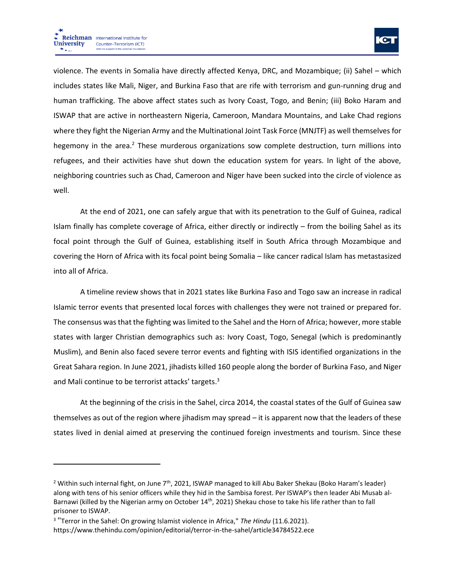

violence. The events in Somalia have directly affected Kenya, DRC, and Mozambique; (ii) Sahel – which includes states like Mali, Niger, and Burkina Faso that are rife with terrorism and gun-running drug and human trafficking. The above affect states such as Ivory Coast, Togo, and Benin; (iii) Boko Haram and ISWAP that are active in northeastern Nigeria, Cameroon, Mandara Mountains, and Lake Chad regions where they fight the Nigerian Army and the Multinational Joint Task Force (MNJTF) as well themselves for hegemony in the area.<sup>2</sup> These murderous organizations sow complete destruction, turn millions into refugees, and their activities have shut down the education system for years. In light of the above, neighboring countries such as Chad, Cameroon and Niger have been sucked into the circle of violence as well.

At the end of 2021, one can safely argue that with its penetration to the Gulf of Guinea, radical Islam finally has complete coverage of Africa, either directly or indirectly – from the boiling Sahel as its focal point through the Gulf of Guinea, establishing itself in South Africa through Mozambique and covering the Horn of Africa with its focal point being Somalia – like cancer radical Islam has metastasized into all of Africa.

A timeline review shows that in 2021 states like Burkina Faso and Togo saw an increase in radical Islamic terror events that presented local forces with challenges they were not trained or prepared for. The consensus was that the fighting was limited to the Sahel and the Horn of Africa; however, more stable states with larger Christian demographics such as: Ivory Coast, Togo, Senegal (which is predominantly Muslim), and Benin also faced severe terror events and fighting with ISIS identified organizations in the Great Sahara region. In June 2021, jihadists killed 160 people along the border of Burkina Faso, and Niger and Mali continue to be terrorist attacks' targets.<sup>3</sup>

At the beginning of the crisis in the Sahel, circa 2014, the coastal states of the Gulf of Guinea saw themselves as out of the region where jihadism may spread – it is apparent now that the leaders of these states lived in denial aimed at preserving the continued foreign investments and tourism. Since these

<sup>&</sup>lt;sup>2</sup> Within such internal fight, on June 7<sup>th</sup>, 2021, ISWAP managed to kill Abu Baker Shekau (Boko Haram's leader) along with tens of his senior officers while they hid in the Sambisa forest. Per ISWAP's then leader Abi Musab al-Barnawi (killed by the Nigerian army on October 14<sup>th</sup>, 2021) Shekau chose to take his life rather than to fall prisoner to ISWAP.

<sup>3</sup> "Terror in the Sahel: On growing Islamist violence in Africa," *The Hindu* (11.6.2021). <https://www.thehindu.com/opinion/editorial/terror-in-the-sahel/article34784522.ece>